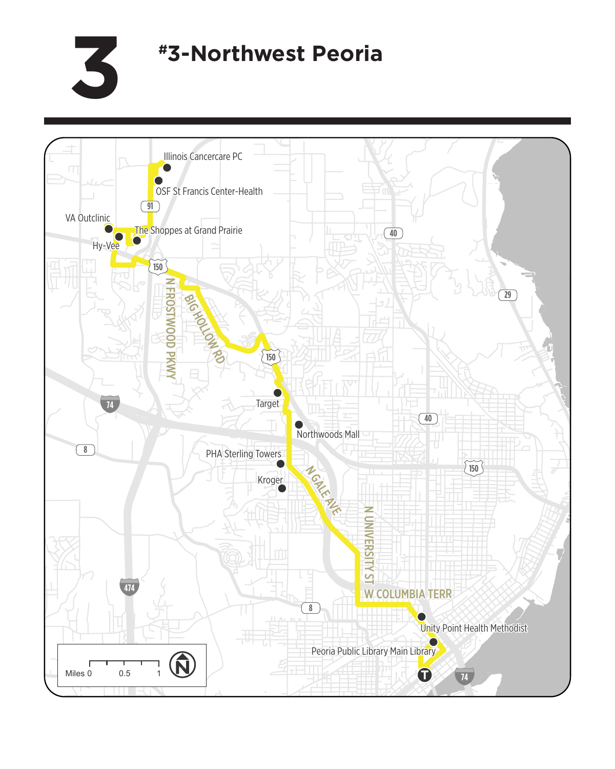